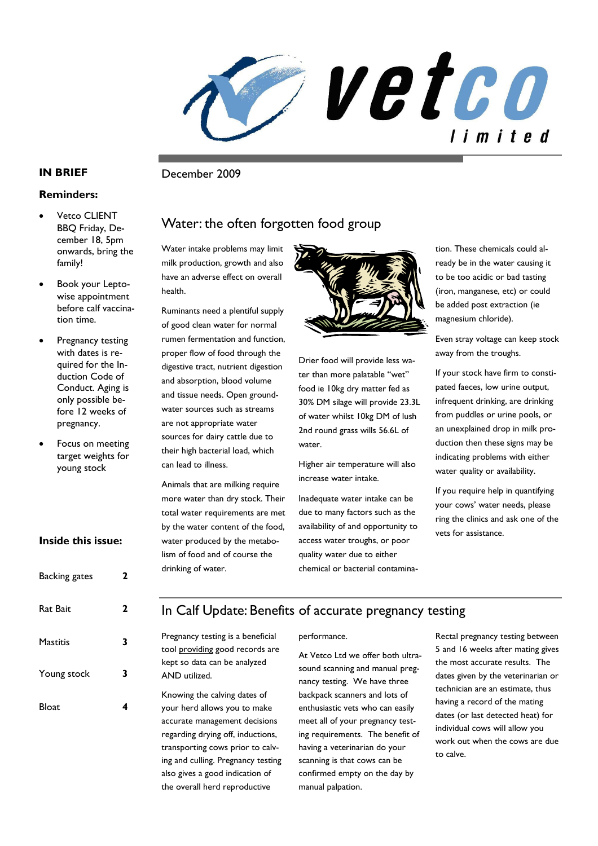vetco limited

**IN BRIEF** December 2009

### **Reminders:**

- **Vetco CLIENT** BBQ Friday, December 18, 5pm onwards, bring the family!
- Book your Leptowise appointment before calf vaccination time.
- Pregnancy testing with dates is required for the Induction Code of Conduct. Aging is only possible before 12 weeks of pregnancy.
- Focus on meeting target weights for young stock

### **Inside this issue:**

| <b>Backing gates</b> | 2 |
|----------------------|---|
| Rat Bait             | 2 |
| <b>Mastitis</b>      | 3 |
| Young stock          | 3 |
| Bloat                |   |

# Water: the often forgotten food group

Water intake problems may limit milk production, growth and also have an adverse effect on overall health.

Ruminants need a plentiful supply of good clean water for normal rumen fermentation and function, proper flow of food through the digestive tract, nutrient digestion and absorption, blood volume and tissue needs. Open groundwater sources such as streams are not appropriate water sources for dairy cattle due to their high bacterial load, which can lead to illness.

Animals that are milking require more water than dry stock. Their total water requirements are met by the water content of the food, water produced by the metabolism of food and of course the drinking of water.



Drier food will provide less water than more palatable "wet" food ie 10kg dry matter fed as 30% DM silage will provide 23.3L of water whilst 10kg DM of lush 2nd round grass wills 56.6L of water.

Higher air temperature will also increase water intake.

Inadequate water intake can be due to many factors such as the availability of and opportunity to access water troughs, or poor quality water due to either chemical or bacterial contamination. These chemicals could already be in the water causing it to be too acidic or bad tasting (iron, manganese, etc) or could be added post extraction (ie magnesium chloride).

Even stray voltage can keep stock away from the troughs.

If your stock have firm to constipated faeces, low urine output, infrequent drinking, are drinking from puddles or urine pools, or an unexplained drop in milk production then these signs may be indicating problems with either water quality or availability.

If you require help in quantifying your cows' water needs, please ring the clinics and ask one of the vets for assistance.

# In Calf Update: Benefits of accurate pregnancy testing

Pregnancy testing is a beneficial tool providing good records are kept so data can be analyzed AND utilized.

Knowing the calving dates of your herd allows you to make accurate management decisions regarding drying off, inductions, transporting cows prior to calving and culling. Pregnancy testing also gives a good indication of the overall herd reproductive

#### performance.

At Vetco Ltd we offer both ultrasound scanning and manual pregnancy testing. We have three backpack scanners and lots of enthusiastic vets who can easily meet all of your pregnancy testing requirements. The benefit of having a veterinarian do your scanning is that cows can be confirmed empty on the day by manual palpation.

Rectal pregnancy testing between 5 and 16 weeks after mating gives the most accurate results. The dates given by the veterinarian or technician are an estimate, thus having a record of the mating dates (or last detected heat) for individual cows will allow you work out when the cows are due to calve.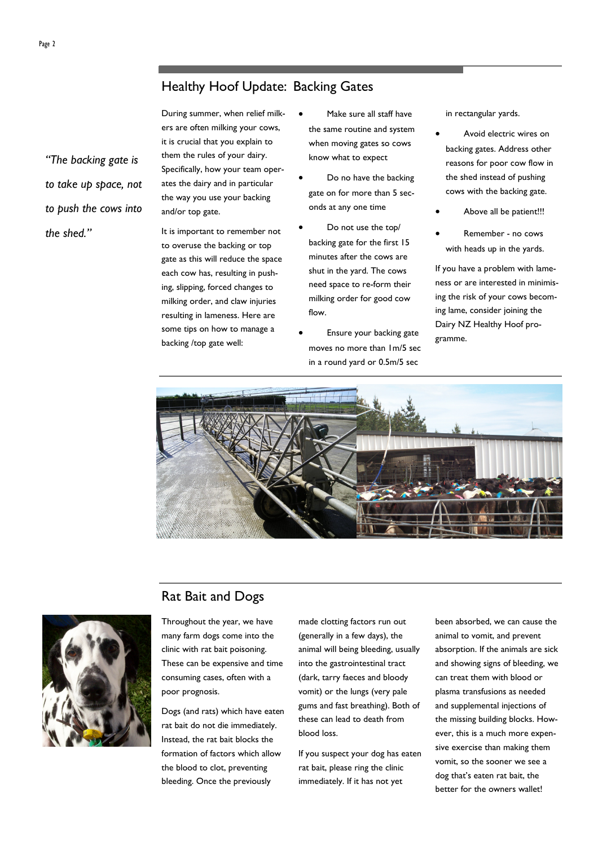During summer, when relief milkers are often milking your cows, it is crucial that you explain to them the rules of your dairy. Specifically, how your team operates the dairy and in particular the way you use your backing and/or top gate.

It is important to remember not to overuse the backing or top gate as this will reduce the space each cow has, resulting in pushing, slipping, forced changes to milking order, and claw injuries resulting in lameness. Here are some tips on how to manage a backing /top gate well:

- Make sure all staff have the same routine and system when moving gates so cows know what to expect
- Do no have the backing gate on for more than 5 seconds at any one time
- Do not use the top/ backing gate for the first 15 minutes after the cows are shut in the yard. The cows need space to re-form their milking order for good cow flow.
- Ensure your backing gate moves no more than 1m/5 sec in a round yard or 0.5m/5 sec

in rectangular yards.

- Avoid electric wires on backing gates. Address other reasons for poor cow flow in the shed instead of pushing cows with the backing gate.
- Above all be patient!!!
- Remember no cows with heads up in the yards.

If you have a problem with lameness or are interested in minimising the risk of your cows becoming lame, consider joining the Dairy NZ Healthy Hoof programme.



# Rat Bait and Dogs



Throughout the year, we have many farm dogs come into the clinic with rat bait poisoning. These can be expensive and time consuming cases, often with a poor prognosis.

Dogs (and rats) which have eaten rat bait do not die immediately. Instead, the rat bait blocks the formation of factors which allow the blood to clot, preventing bleeding. Once the previously

made clotting factors run out (generally in a few days), the animal will being bleeding, usually into the gastrointestinal tract (dark, tarry faeces and bloody vomit) or the lungs (very pale gums and fast breathing). Both of these can lead to death from blood loss.

If you suspect your dog has eaten rat bait, please ring the clinic immediately. If it has not yet

been absorbed, we can cause the animal to vomit, and prevent absorption. If the animals are sick and showing signs of bleeding, we can treat them with blood or plasma transfusions as needed and supplemental injections of the missing building blocks. However, this is a much more expensive exercise than making them vomit, so the sooner we see a dog that's eaten rat bait, the better for the owners wallet!

*"The backing gate is to take up space, not to push the cows into* 

*the shed."*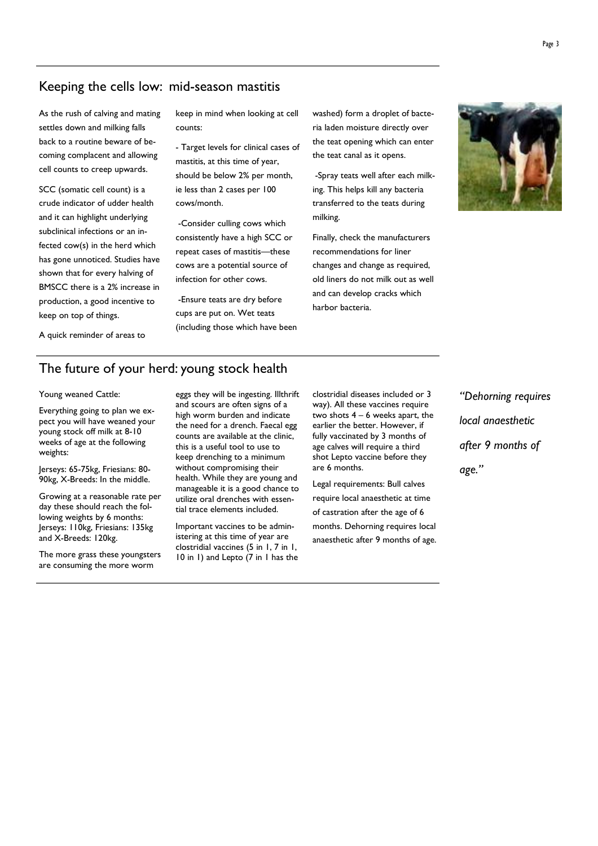# Keeping the cells low: mid-season mastitis

As the rush of calving and mating settles down and milking falls back to a routine beware of becoming complacent and allowing cell counts to creep upwards.

SCC (somatic cell count) is a crude indicator of udder health and it can highlight underlying subclinical infections or an infected cow(s) in the herd which has gone unnoticed. Studies have shown that for every halving of BMSCC there is a 2% increase in production, a good incentive to keep on top of things.

A quick reminder of areas to

keep in mind when looking at cell counts:

- Target levels for clinical cases of mastitis, at this time of year, should be below 2% per month, ie less than 2 cases per 100 cows/month.

 -Consider culling cows which consistently have a high SCC or repeat cases of mastitis—these cows are a potential source of infection for other cows.

 -Ensure teats are dry before cups are put on. Wet teats (including those which have been washed) form a droplet of bacteria laden moisture directly over the teat opening which can enter the teat canal as it opens.

 -Spray teats well after each milking. This helps kill any bacteria transferred to the teats during milking.

Finally, check the manufacturers recommendations for liner changes and change as required, old liners do not milk out as well and can develop cracks which harbor bacteria.



## The future of your herd: young stock health

#### Young weaned Cattle:

Everything going to plan we expect you will have weaned your young stock off milk at 8-10 weeks of age at the following weights:

Jerseys: 65-75kg, Friesians: 80- 90kg, X-Breeds: In the middle.

Growing at a reasonable rate per day these should reach the following weights by 6 months: Jerseys: 110kg, Friesians: 135kg and X-Breeds: 120kg.

The more grass these youngsters are consuming the more worm

eggs they will be ingesting. Illthrift and scours are often signs of a high worm burden and indicate the need for a drench. Faecal egg counts are available at the clinic, this is a useful tool to use to keep drenching to a minimum without compromising their health. While they are young and manageable it is a good chance to utilize oral drenches with essential trace elements included.

Important vaccines to be administering at this time of year are clostridial vaccines (5 in 1, 7 in 1, 10 in 1) and Lepto (7 in 1 has the clostridial diseases included or 3 way). All these vaccines require two shots 4 – 6 weeks apart, the earlier the better. However, if fully vaccinated by 3 months of age calves will require a third shot Lepto vaccine before they are 6 months.

Legal requirements: Bull calves require local anaesthetic at time of castration after the age of 6 months. Dehorning requires local anaesthetic after 9 months of age.

*"Dehorning requires local anaesthetic after 9 months of age."*